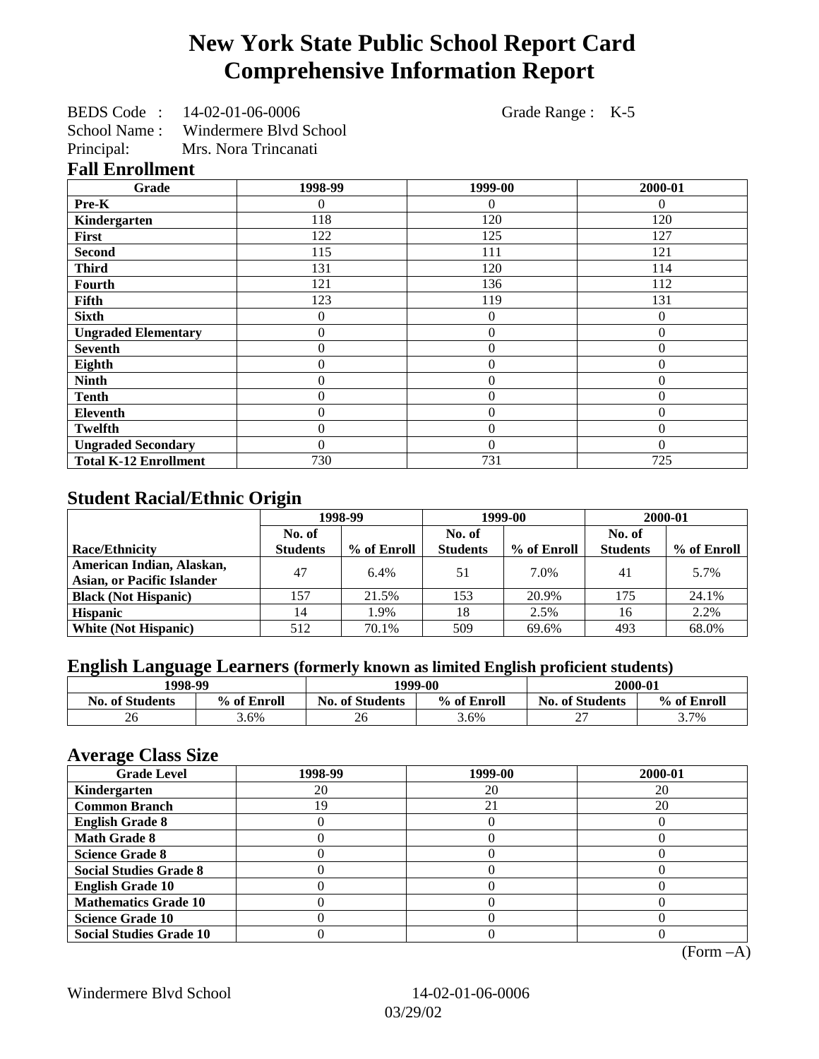# **New York State Public School Report Card Comprehensive Information Report**

| BEDS Code: | 14-02-01-06-0006 | Grade Range : K-5 |  |
|------------|------------------|-------------------|--|
|------------|------------------|-------------------|--|

School Name : Windermere Blvd School

Principal: Mrs. Nora Trincanati **Fall Enrollment**

| Grade                        | 1998-99      | 1999-00      | 2000-01  |
|------------------------------|--------------|--------------|----------|
| Pre-K                        | $\Omega$     | $\Omega$     | $\theta$ |
| Kindergarten                 | 118          | 120          | 120      |
| <b>First</b>                 | 122          | 125          | 127      |
| <b>Second</b>                | 115          | 111          | 121      |
| <b>Third</b>                 | 131          | 120          | 114      |
| <b>Fourth</b>                | 121          | 136          | 112      |
| Fifth                        | 123          | 119          | 131      |
| <b>Sixth</b>                 | $\Omega$     | $\mathbf{0}$ | $\Omega$ |
| <b>Ungraded Elementary</b>   | $\Omega$     | $\theta$     | $\Omega$ |
| <b>Seventh</b>               | $\Omega$     | $\theta$     |          |
| Eighth                       | $\mathbf{0}$ | $\theta$     | $\theta$ |
| <b>Ninth</b>                 | $\Omega$     | $\theta$     | $\Omega$ |
| <b>Tenth</b>                 | $\Omega$     | $\theta$     | $\Omega$ |
| <b>Eleventh</b>              | $\Omega$     | $\mathbf{0}$ | $\Omega$ |
| <b>Twelfth</b>               | $\Omega$     | $\theta$     | $\Omega$ |
| <b>Ungraded Secondary</b>    | $\Omega$     | $\theta$     | $\Omega$ |
| <b>Total K-12 Enrollment</b> | 730          | 731          | 725      |

## **Student Racial/Ethnic Origin**

|                                   | 1998-99         |             | 1999-00         |             | 2000-01         |             |
|-----------------------------------|-----------------|-------------|-----------------|-------------|-----------------|-------------|
|                                   | No. of          |             | No. of          |             | No. of          |             |
| <b>Race/Ethnicity</b>             | <b>Students</b> | % of Enroll | <b>Students</b> | % of Enroll | <b>Students</b> | % of Enroll |
| American Indian, Alaskan,         | 47              | 6.4%        | 51              | 7.0%        | 41              | 5.7%        |
| <b>Asian, or Pacific Islander</b> |                 |             |                 |             |                 |             |
| <b>Black (Not Hispanic)</b>       | 157             | 21.5%       | 153             | 20.9%       | 175             | 24.1%       |
| <b>Hispanic</b>                   | 14              | 1.9%        | 18              | 2.5%        | 16              | 2.2%        |
| <b>White (Not Hispanic)</b>       | 512             | 70.1%       | 509             | 69.6%       | 493             | 68.0%       |

## **English Language Learners (formerly known as limited English proficient students)**

| 1998-99                |             | 1999-00                |             | 2000-01                |             |
|------------------------|-------------|------------------------|-------------|------------------------|-------------|
| <b>No. of Students</b> | % of Enroll | <b>No. of Students</b> | % of Enroll | <b>No. of Students</b> | % of Enroll |
| 26                     | 3.6%        | 26                     | 3.6%        | $\sim$<br>∼            | 3.7%        |

#### **Average Class Size**

| $-7$<br><b>Grade Level</b>     | 1998-99 | 1999-00 | 2000-01 |
|--------------------------------|---------|---------|---------|
| Kindergarten                   | 20      | 20      | 20      |
| <b>Common Branch</b>           | 19      | 21      | 20      |
| <b>English Grade 8</b>         |         |         |         |
| <b>Math Grade 8</b>            |         |         |         |
| <b>Science Grade 8</b>         |         |         |         |
| <b>Social Studies Grade 8</b>  |         |         |         |
| <b>English Grade 10</b>        |         |         |         |
| <b>Mathematics Grade 10</b>    |         |         |         |
| <b>Science Grade 10</b>        |         |         |         |
| <b>Social Studies Grade 10</b> |         |         |         |

(Form –A)